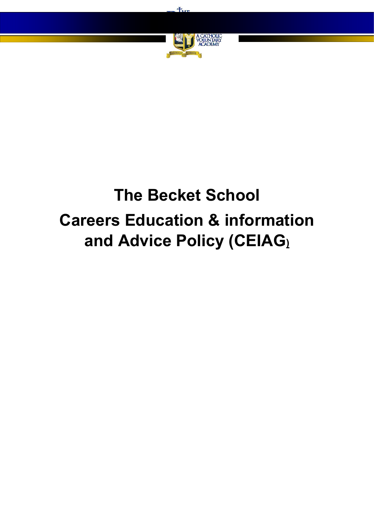

 $H_{\text{true}}$ 

# **The Becket School Careers Education & information and Advice Policy (CEIAG)**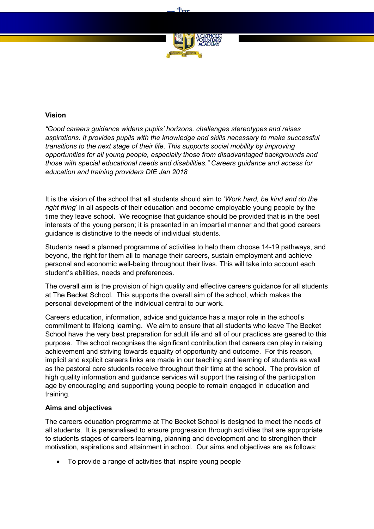

 $+$ 

# **Vision**

*"Good careers guidance widens pupils' horizons, challenges stereotypes and raises aspirations. It provides pupils with the knowledge and skills necessary to make successful transitions to the next stage of their life. This supports social mobility by improving opportunities for all young people, especially those from disadvantaged backgrounds and those with special educational needs and disabilities." Careers guidance and access for education and training providers DfE Jan 2018*

It is the vision of the school that all students should aim to '*Work hard, be kind and do the right thing*' in all aspects of their education and become employable young people by the time they leave school. We recognise that guidance should be provided that is in the best interests of the young person; it is presented in an impartial manner and that good careers guidance is distinctive to the needs of individual students.

Students need a planned programme of activities to help them choose 14-19 pathways, and beyond, the right for them all to manage their careers, sustain employment and achieve personal and economic well-being throughout their lives. This will take into account each student's abilities, needs and preferences.

The overall aim is the provision of high quality and effective careers guidance for all students at The Becket School. This supports the overall aim of the school, which makes the personal development of the individual central to our work.

Careers education, information, advice and guidance has a major role in the school's commitment to lifelong learning. We aim to ensure that all students who leave The Becket School have the very best preparation for adult life and all of our practices are geared to this purpose. The school recognises the significant contribution that careers can play in raising achievement and striving towards equality of opportunity and outcome. For this reason, implicit and explicit careers links are made in our teaching and learning of students as well as the pastoral care students receive throughout their time at the school. The provision of high quality information and guidance services will support the raising of the participation age by encouraging and supporting young people to remain engaged in education and training.

## **Aims and objectives**

The careers education programme at The Becket School is designed to meet the needs of all students. It is personalised to ensure progression through activities that are appropriate to students stages of careers learning, planning and development and to strengthen their motivation, aspirations and attainment in school. Our aims and objectives are as follows:

To provide a range of activities that inspire young people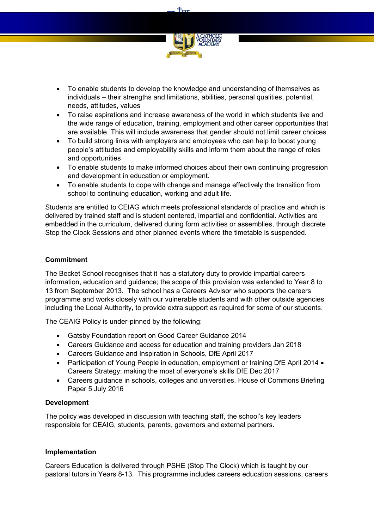

**Tun** 

- To enable students to develop the knowledge and understanding of themselves as individuals – their strengths and limitations, abilities, personal qualities, potential, needs, attitudes, values
- To raise aspirations and increase awareness of the world in which students live and the wide range of education, training, employment and other career opportunities that are available. This will include awareness that gender should not limit career choices.
- To build strong links with employers and employees who can help to boost young people's attitudes and employability skills and inform them about the range of roles and opportunities
- To enable students to make informed choices about their own continuing progression and development in education or employment.
- To enable students to cope with change and manage effectively the transition from school to continuing education, working and adult life.

Students are entitled to CEIAG which meets professional standards of practice and which is delivered by trained staff and is student centered, impartial and confidential. Activities are embedded in the curriculum, delivered during form activities or assemblies, through discrete Stop the Clock Sessions and other planned events where the timetable is suspended.

## **Commitment**

The Becket School recognises that it has a statutory duty to provide impartial careers information, education and guidance; the scope of this provision was extended to Year 8 to 13 from September 2013. The school has a Careers Advisor who supports the careers programme and works closely with our vulnerable students and with other outside agencies including the Local Authority, to provide extra support as required for some of our students.

The CEAIG Policy is under-pinned by the following:

- Gatsby Foundation report on Good Career Guidance 2014
- Careers Guidance and access for education and training providers Jan 2018
- Careers Guidance and Inspiration in Schools, DfE April 2017
- Participation of Young People in education, employment or training DfE April 2014 Careers Strategy: making the most of everyone's skills DfE Dec 2017
- Careers guidance in schools, colleges and universities. House of Commons Briefing Paper 5 July 2016

## **Development**

The policy was developed in discussion with teaching staff, the school's key leaders responsible for CEAIG, students, parents, governors and external partners.

## **Implementation**

Careers Education is delivered through PSHE (Stop The Clock) which is taught by our pastoral tutors in Years 8-13. This programme includes careers education sessions, careers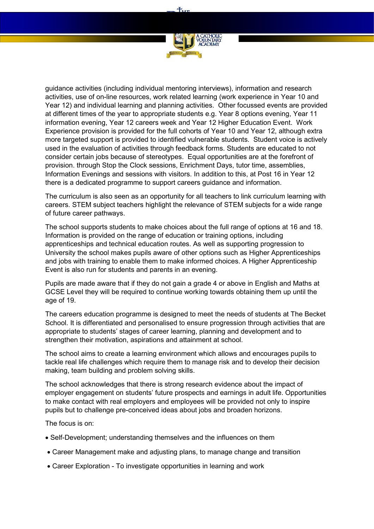

 $+$ 

guidance activities (including individual mentoring interviews), information and research activities, use of on-line resources, work related learning (work experience in Year 10 and Year 12) and individual learning and planning activities. Other focussed events are provided at different times of the year to appropriate students e.g. Year 8 options evening, Year 11 information evening, Year 12 careers week and Year 12 Higher Education Event. Work Experience provision is provided for the full cohorts of Year 10 and Year 12, although extra more targeted support is provided to identified vulnerable students. Student voice is actively used in the evaluation of activities through feedback forms. Students are educated to not consider certain jobs because of stereotypes. Equal opportunities are at the forefront of provision. through Stop the Clock sessions, Enrichment Days, tutor time, assemblies, Information Evenings and sessions with visitors. In addition to this, at Post 16 in Year 12 there is a dedicated programme to support careers guidance and information.

The curriculum is also seen as an opportunity for all teachers to link curriculum learning with careers. STEM subject teachers highlight the relevance of STEM subjects for a wide range of future career pathways.

The school supports students to make choices about the full range of options at 16 and 18. Information is provided on the range of education or training options, including apprenticeships and technical education routes. As well as supporting progression to University the school makes pupils aware of other options such as Higher Apprenticeships and jobs with training to enable them to make informed choices. A Higher Apprenticeship Event is also run for students and parents in an evening.

Pupils are made aware that if they do not gain a grade 4 or above in English and Maths at GCSE Level they will be required to continue working towards obtaining them up until the age of 19.

The careers education programme is designed to meet the needs of students at The Becket School. It is differentiated and personalised to ensure progression through activities that are appropriate to students' stages of career learning, planning and development and to strengthen their motivation, aspirations and attainment at school.

The school aims to create a learning environment which allows and encourages pupils to tackle real life challenges which require them to manage risk and to develop their decision making, team building and problem solving skills.

The school acknowledges that there is strong research evidence about the impact of employer engagement on students' future prospects and earnings in adult life. Opportunities to make contact with real employers and employees will be provided not only to inspire pupils but to challenge pre-conceived ideas about jobs and broaden horizons.

The focus is on:

- Self-Development; understanding themselves and the influences on them
- Career Management make and adjusting plans, to manage change and transition
- Career Exploration To investigate opportunities in learning and work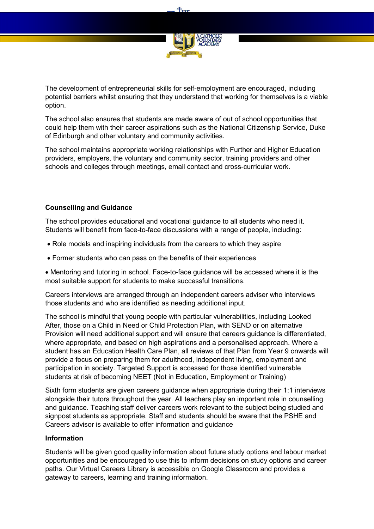

**Tun** 

The development of entrepreneurial skills for self-employment are encouraged, including potential barriers whilst ensuring that they understand that working for themselves is a viable option.

The school also ensures that students are made aware of out of school opportunities that could help them with their career aspirations such as the National Citizenship Service, Duke of Edinburgh and other voluntary and community activities.

The school maintains appropriate working relationships with Further and Higher Education providers, employers, the voluntary and community sector, training providers and other schools and colleges through meetings, email contact and cross-curricular work.

## **Counselling and Guidance**

The school provides educational and vocational guidance to all students who need it. Students will benefit from face-to-face discussions with a range of people, including:

- Role models and inspiring individuals from the careers to which they aspire
- Former students who can pass on the benefits of their experiences

 Mentoring and tutoring in school. Face-to-face guidance will be accessed where it is the most suitable support for students to make successful transitions.

Careers interviews are arranged through an independent careers adviser who interviews those students and who are identified as needing additional input.

The school is mindful that young people with particular vulnerabilities, including Looked After, those on a Child in Need or Child Protection Plan, with SEND or on alternative Provision will need additional support and will ensure that careers guidance is differentiated, where appropriate, and based on high aspirations and a personalised approach. Where a student has an Education Health Care Plan, all reviews of that Plan from Year 9 onwards will provide a focus on preparing them for adulthood, independent living, employment and participation in society. Targeted Support is accessed for those identified vulnerable students at risk of becoming NEET (Not in Education, Employment or Training)

Sixth form students are given careers guidance when appropriate during their 1:1 interviews alongside their tutors throughout the year. All teachers play an important role in counselling and guidance. Teaching staff deliver careers work relevant to the subject being studied and signpost students as appropriate. Staff and students should be aware that the PSHE and Careers advisor is available to offer information and guidance

## **Information**

Students will be given good quality information about future study options and labour market opportunities and be encouraged to use this to inform decisions on study options and career paths. Our Virtual Careers Library is accessible on Google Classroom and provides a gateway to careers, learning and training information.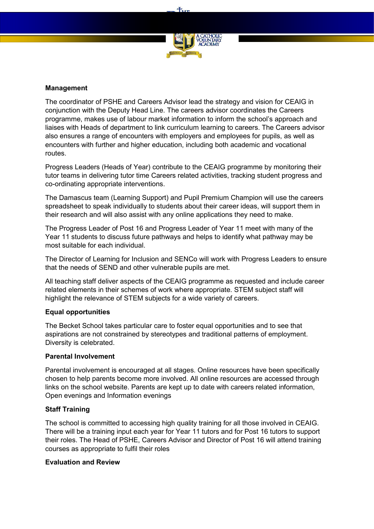

**Tun** 

#### **Management**

The coordinator of PSHE and Careers Advisor lead the strategy and vision for CEAIG in conjunction with the Deputy Head Line. The careers advisor coordinates the Careers programme, makes use of labour market information to inform the school's approach and liaises with Heads of department to link curriculum learning to careers. The Careers advisor also ensures a range of encounters with employers and employees for pupils, as well as encounters with further and higher education, including both academic and vocational routes.

Progress Leaders (Heads of Year) contribute to the CEAIG programme by monitoring their tutor teams in delivering tutor time Careers related activities, tracking student progress and co-ordinating appropriate interventions.

The Damascus team (Learning Support) and Pupil Premium Champion will use the careers spreadsheet to speak individually to students about their career ideas, will support them in their research and will also assist with any online applications they need to make.

The Progress Leader of Post 16 and Progress Leader of Year 11 meet with many of the Year 11 students to discuss future pathways and helps to identify what pathway may be most suitable for each individual.

The Director of Learning for Inclusion and SENCo will work with Progress Leaders to ensure that the needs of SEND and other vulnerable pupils are met.

All teaching staff deliver aspects of the CEAIG programme as requested and include career related elements in their schemes of work where appropriate. STEM subject staff will highlight the relevance of STEM subjects for a wide variety of careers.

#### **Equal opportunities**

The Becket School takes particular care to foster equal opportunities and to see that aspirations are not constrained by stereotypes and traditional patterns of employment. Diversity is celebrated.

#### **Parental Involvement**

Parental involvement is encouraged at all stages. Online resources have been specifically chosen to help parents become more involved. All online resources are accessed through links on the school website. Parents are kept up to date with careers related information, Open evenings and Information evenings

## **Staff Training**

The school is committed to accessing high quality training for all those involved in CEAIG. There will be a training input each year for Year 11 tutors and for Post 16 tutors to support their roles. The Head of PSHE, Careers Advisor and Director of Post 16 will attend training courses as appropriate to fulfil their roles

#### **Evaluation and Review**